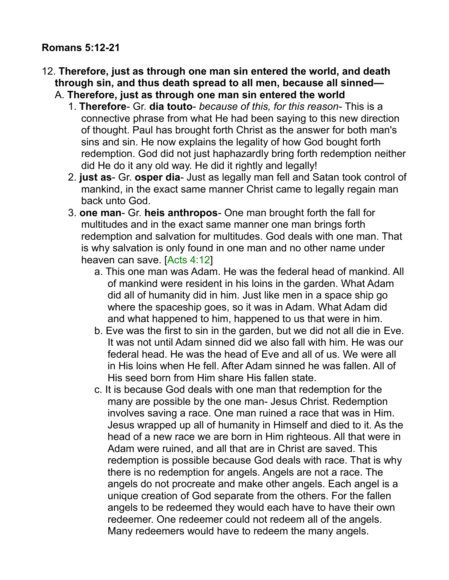#### **Romans 5:12-21**

- 12. **Therefore, just as through one man sin entered the world, and death through sin, and thus death spread to all men, because all sinned—**
	- A. **Therefore, just as through one man sin entered the world**
		- 1. **Therefore** Gr. **dia touto** *because of this, for this reason* This is a connective phrase from what He had been saying to this new direction of thought. Paul has brought forth Christ as the answer for both man's sins and sin. He now explains the legality of how God bought forth redemption. God did not just haphazardly bring forth redemption neither did He do it any old way. He did it rightly and legally!
		- 2. **just as** Gr. **osper dia** Just as legally man fell and Satan took control of mankind, in the exact same manner Christ came to legally regain man back unto God.
		- 3. **one man** Gr. **heis anthropos** One man brought forth the fall for multitudes and in the exact same manner one man brings forth redemption and salvation for multitudes. God deals with one man. That is why salvation is only found in one man and no other name under heaven can save. [Acts 4:12]
			- a. This one man was Adam. He was the federal head of mankind. All of mankind were resident in his loins in the garden. What Adam did all of humanity did in him. Just like men in a space ship go where the spaceship goes, so it was in Adam. What Adam did and what happened to him, happened to us that were in him.
			- b. Eve was the first to sin in the garden, but we did not all die in Eve. It was not until Adam sinned did we also fall with him. He was our federal head. He was the head of Eve and all of us. We were all in His loins when He fell. After Adam sinned he was fallen. All of His seed born from Him share His fallen state.
			- c. It is because God deals with one man that redemption for the many are possible by the one man- Jesus Christ. Redemption involves saving a race. One man ruined a race that was in Him. Jesus wrapped up all of humanity in Himself and died to it. As the head of a new race we are born in Him righteous. All that were in Adam were ruined, and all that are in Christ are saved. This redemption is possible because God deals with race. That is why there is no redemption for angels. Angels are not a race. The angels do not procreate and make other angels. Each angel is a unique creation of God separate from the others. For the fallen angels to be redeemed they would each have to have their own redeemer. One redeemer could not redeem all of the angels. Many redeemers would have to redeem the many angels.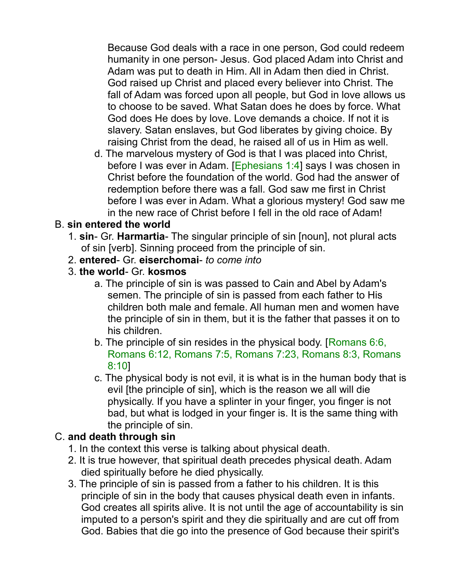Because God deals with a race in one person, God could redeem humanity in one person- Jesus. God placed Adam into Christ and Adam was put to death in Him. All in Adam then died in Christ. God raised up Christ and placed every believer into Christ. The fall of Adam was forced upon all people, but God in love allows us to choose to be saved. What Satan does he does by force. What God does He does by love. Love demands a choice. If not it is slavery. Satan enslaves, but God liberates by giving choice. By raising Christ from the dead, he raised all of us in Him as well.

d. The marvelous mystery of God is that I was placed into Christ, before I was ever in Adam. [Ephesians 1:4] says I was chosen in Christ before the foundation of the world. God had the answer of redemption before there was a fall. God saw me first in Christ before I was ever in Adam. What a glorious mystery! God saw me in the new race of Christ before I fell in the old race of Adam!

### B. **sin entered the world**

- 1. **sin** Gr. **Harmartia** The singular principle of sin [noun], not plural acts of sin [verb]. Sinning proceed from the principle of sin.
- 2. **entered** Gr. **eiserchomai** *to come into*
- 3. **the world** Gr. **kosmos**
	- a. The principle of sin is was passed to Cain and Abel by Adam's semen. The principle of sin is passed from each father to His children both male and female. All human men and women have the principle of sin in them, but it is the father that passes it on to his children.
	- b. The principle of sin resides in the physical body. [Romans 6:6, Romans 6:12, Romans 7:5, Romans 7:23, Romans 8:3, Romans 8:10]
	- c. The physical body is not evil, it is what is in the human body that is evil [the principle of sin], which is the reason we all will die physically. If you have a splinter in your finger, you finger is not bad, but what is lodged in your finger is. It is the same thing with the principle of sin.

## C. **and death through sin**

- 1. In the context this verse is talking about physical death.
- 2. It is true however, that spiritual death precedes physical death. Adam died spiritually before he died physically.
- 3. The principle of sin is passed from a father to his children. It is this principle of sin in the body that causes physical death even in infants. God creates all spirits alive. It is not until the age of accountability is sin imputed to a person's spirit and they die spiritually and are cut off from God. Babies that die go into the presence of God because their spirit's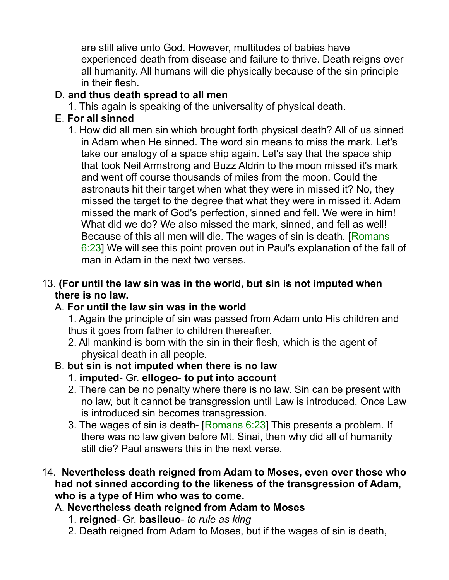are still alive unto God. However, multitudes of babies have experienced death from disease and failure to thrive. Death reigns over all humanity. All humans will die physically because of the sin principle in their flesh.

### D. **and thus death spread to all men**

1. This again is speaking of the universality of physical death.

# E. **For all sinned**

1. How did all men sin which brought forth physical death? All of us sinned in Adam when He sinned. The word sin means to miss the mark. Let's take our analogy of a space ship again. Let's say that the space ship that took Neil Armstrong and Buzz Aldrin to the moon missed it's mark and went off course thousands of miles from the moon. Could the astronauts hit their target when what they were in missed it? No, they missed the target to the degree that what they were in missed it. Adam missed the mark of God's perfection, sinned and fell. We were in him! What did we do? We also missed the mark, sinned, and fell as well! Because of this all men will die. The wages of sin is death. [Romans 6:23] We will see this point proven out in Paul's explanation of the fall of man in Adam in the next two verses.

### 13. **(For until the law sin was in the world, but sin is not imputed when there is no law.**

## A. **For until the law sin was in the world**

1. Again the principle of sin was passed from Adam unto His children and thus it goes from father to children thereafter.

2. All mankind is born with the sin in their flesh, which is the agent of physical death in all people.

# B. **but sin is not imputed when there is no law**

- 1. **imputed** Gr. **ellogeo to put into account**
- 2. There can be no penalty where there is no law. Sin can be present with no law, but it cannot be transgression until Law is introduced. Once Law is introduced sin becomes transgression.
- 3. The wages of sin is death- [Romans 6:23] This presents a problem. If there was no law given before Mt. Sinai, then why did all of humanity still die? Paul answers this in the next verse.

#### 14. **Nevertheless death reigned from Adam to Moses, even over those who had not sinned according to the likeness of the transgression of Adam, who is a type of Him who was to come.**

- A. **Nevertheless death reigned from Adam to Moses**
	- 1. **reigned** Gr. **basileuo** *to rule as king*
	- 2. Death reigned from Adam to Moses, but if the wages of sin is death,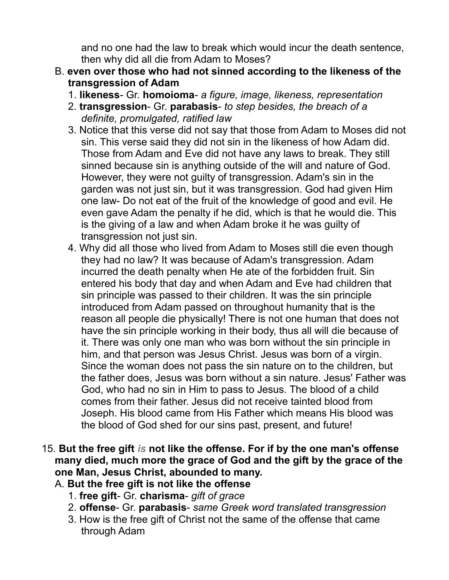and no one had the law to break which would incur the death sentence, then why did all die from Adam to Moses?

- B. **even over those who had not sinned according to the likeness of the transgression of Adam**
	- 1. **likeness** Gr. **homoioma** *a figure, image, likeness, representation*
	- 2. **transgression** Gr. **parabasis** *to step besides, the breach of a definite, promulgated, ratified law*
	- 3. Notice that this verse did not say that those from Adam to Moses did not sin. This verse said they did not sin in the likeness of how Adam did. Those from Adam and Eve did not have any laws to break. They still sinned because sin is anything outside of the will and nature of God. However, they were not guilty of transgression. Adam's sin in the garden was not just sin, but it was transgression. God had given Him one law- Do not eat of the fruit of the knowledge of good and evil. He even gave Adam the penalty if he did, which is that he would die. This is the giving of a law and when Adam broke it he was guilty of transgression not just sin.
	- 4. Why did all those who lived from Adam to Moses still die even though they had no law? It was because of Adam's transgression. Adam incurred the death penalty when He ate of the forbidden fruit. Sin entered his body that day and when Adam and Eve had children that sin principle was passed to their children. It was the sin principle introduced from Adam passed on throughout humanity that is the reason all people die physically! There is not one human that does not have the sin principle working in their body, thus all will die because of it. There was only one man who was born without the sin principle in him, and that person was Jesus Christ. Jesus was born of a virgin. Since the woman does not pass the sin nature on to the children, but the father does, Jesus was born without a sin nature. Jesus' Father was God, who had no sin in Him to pass to Jesus. The blood of a child comes from their father. Jesus did not receive tainted blood from Joseph. His blood came from His Father which means His blood was the blood of God shed for our sins past, present, and future!
- 15. **But the free gift** *is* **not like the offense. For if by the one man's offense many died, much more the grace of God and the gift by the grace of the one Man, Jesus Christ, abounded to many.** 
	- A. **But the free gift is not like the offense**
		- 1. **free gift** Gr. **charisma** *gift of grace*
		- 2. **offense** Gr. **parabasis** *same Greek word translated transgression*
		- 3. How is the free gift of Christ not the same of the offense that came through Adam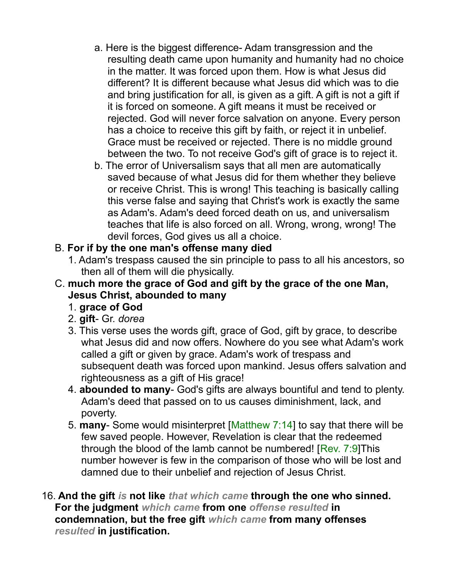- a. Here is the biggest difference- Adam transgression and the resulting death came upon humanity and humanity had no choice in the matter. It was forced upon them. How is what Jesus did different? It is different because what Jesus did which was to die and bring justification for all, is given as a gift. A gift is not a gift if it is forced on someone. A gift means it must be received or rejected. God will never force salvation on anyone. Every person has a choice to receive this gift by faith, or reject it in unbelief. Grace must be received or rejected. There is no middle ground between the two. To not receive God's gift of grace is to reject it.
- b. The error of Universalism says that all men are automatically saved because of what Jesus did for them whether they believe or receive Christ. This is wrong! This teaching is basically calling this verse false and saying that Christ's work is exactly the same as Adam's. Adam's deed forced death on us, and universalism teaches that life is also forced on all. Wrong, wrong, wrong! The devil forces, God gives us all a choice.

### B. **For if by the one man's offense many died**

- 1. Adam's trespass caused the sin principle to pass to all his ancestors, so then all of them will die physically.
- C. **much more the grace of God and gift by the grace of the one Man, Jesus Christ, abounded to many**
	- 1. **grace of God**
	- 2. **gift** Gr. *dorea*
	- 3. This verse uses the words gift, grace of God, gift by grace, to describe what Jesus did and now offers. Nowhere do you see what Adam's work called a gift or given by grace. Adam's work of trespass and subsequent death was forced upon mankind. Jesus offers salvation and righteousness as a gift of His grace!
	- 4. **abounded to many** God's gifts are always bountiful and tend to plenty. Adam's deed that passed on to us causes diminishment, lack, and poverty.
	- 5. **many** Some would misinterpret [Matthew 7:14] to say that there will be few saved people. However, Revelation is clear that the redeemed through the blood of the lamb cannot be numbered! [Rev. 7:9]This number however is few in the comparison of those who will be lost and damned due to their unbelief and rejection of Jesus Christ.
- 16. **And the gift** *is* **not like** *that which came* **through the one who sinned. For the judgment** *which came* **from one** *offense resulted* **in condemnation, but the free gift** *which came* **from many offenses** *resulted* **in justification.**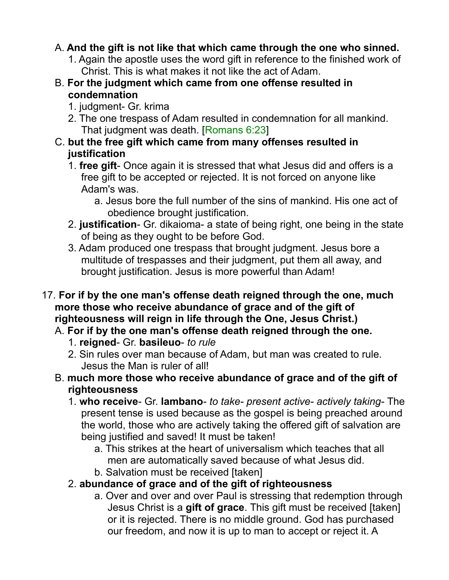## A. **And the gift is not like that which came through the one who sinned.**

- 1. Again the apostle uses the word gift in reference to the finished work of Christ. This is what makes it not like the act of Adam.
- B. **For the judgment which came from one offense resulted in condemnation**
	- 1. judgment- Gr. krima
	- 2. The one trespass of Adam resulted in condemnation for all mankind. That judgment was death. [Romans 6:23]
- C. **but the free gift which came from many offenses resulted in justification**
	- 1. **free gift** Once again it is stressed that what Jesus did and offers is a free gift to be accepted or rejected. It is not forced on anyone like Adam's was.
		- a. Jesus bore the full number of the sins of mankind. His one act of obedience brought justification.
	- 2. **justification** Gr. dikaioma- a state of being right, one being in the state of being as they ought to be before God.
	- 3. Adam produced one trespass that brought judgment. Jesus bore a multitude of trespasses and their judgment, put them all away, and brought justification. Jesus is more powerful than Adam!
- 17. **For if by the one man's offense death reigned through the one, much more those who receive abundance of grace and of the gift of righteousness will reign in life through the One, Jesus Christ.)**
	- A. **For if by the one man's offense death reigned through the one.**
		- 1. **reigned** Gr. **basileuo** *to rule*
		- 2. Sin rules over man because of Adam, but man was created to rule. Jesus the Man is ruler of all!
	- B. **much more those who receive abundance of grace and of the gift of righteousness**
		- 1. **who receive** Gr. **lambano** *to take- present active- actively taking* The present tense is used because as the gospel is being preached around the world, those who are actively taking the offered gift of salvation are being justified and saved! It must be taken!
			- a. This strikes at the heart of universalism which teaches that all men are automatically saved because of what Jesus did.
			- b. Salvation must be received [taken]
		- 2. **abundance of grace and of the gift of righteousness**
			- a. Over and over and over Paul is stressing that redemption through Jesus Christ is a **gift of grace**. This gift must be received [taken] or it is rejected. There is no middle ground. God has purchased our freedom, and now it is up to man to accept or reject it. A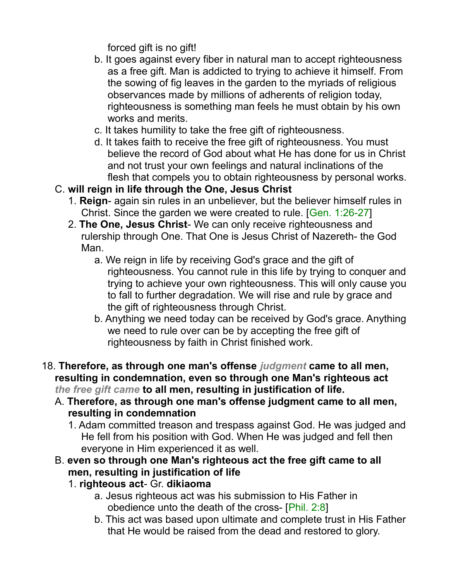forced gift is no gift!

- b. It goes against every fiber in natural man to accept righteousness as a free gift. Man is addicted to trying to achieve it himself. From the sowing of fig leaves in the garden to the myriads of religious observances made by millions of adherents of religion today, righteousness is something man feels he must obtain by his own works and merits.
- c. It takes humility to take the free gift of righteousness.
- d. It takes faith to receive the free gift of righteousness. You must believe the record of God about what He has done for us in Christ and not trust your own feelings and natural inclinations of the flesh that compels you to obtain righteousness by personal works.
- C. **will reign in life through the One, Jesus Christ**
	- 1. **Reign** again sin rules in an unbeliever, but the believer himself rules in Christ. Since the garden we were created to rule. [Gen. 1:26-27]
	- 2. **The One, Jesus Christ** We can only receive righteousness and rulership through One. That One is Jesus Christ of Nazereth- the God Man.
		- a. We reign in life by receiving God's grace and the gift of righteousness. You cannot rule in this life by trying to conquer and trying to achieve your own righteousness. This will only cause you to fall to further degradation. We will rise and rule by grace and the gift of righteousness through Christ.
		- b. Anything we need today can be received by God's grace. Anything we need to rule over can be by accepting the free gift of righteousness by faith in Christ finished work.
- 18. **Therefore, as through one man's offense** *judgment* **came to all men, resulting in condemnation, even so through one Man's righteous act** *the free gift came* **to all men, resulting in justification of life.** 
	- A. **Therefore, as through one man's offense judgment came to all men, resulting in condemnation**
		- 1. Adam committed treason and trespass against God. He was judged and He fell from his position with God. When He was judged and fell then everyone in Him experienced it as well.
	- B. **even so through one Man's righteous act the free gift came to all men, resulting in justification of life**
		- 1. **righteous act** Gr. **dikiaoma**
			- a. Jesus righteous act was his submission to His Father in obedience unto the death of the cross- [Phil. 2:8]
			- b. This act was based upon ultimate and complete trust in His Father that He would be raised from the dead and restored to glory.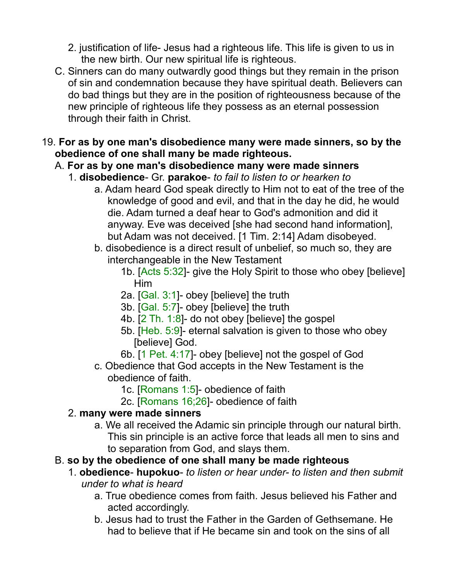2. justification of life- Jesus had a righteous life. This life is given to us in the new birth. Our new spiritual life is righteous.

- C. Sinners can do many outwardly good things but they remain in the prison of sin and condemnation because they have spiritual death. Believers can do bad things but they are in the position of righteousness because of the new principle of righteous life they possess as an eternal possession through their faith in Christ.
- 19. **For as by one man's disobedience many were made sinners, so by the obedience of one shall many be made righteous.**
	- A. **For as by one man's disobedience many were made sinners**
		- 1. **disobedience** Gr. **parakoe** *to fail to listen to or hearken to*
			- a. Adam heard God speak directly to Him not to eat of the tree of the knowledge of good and evil, and that in the day he did, he would die. Adam turned a deaf hear to God's admonition and did it anyway. Eve was deceived [she had second hand information], but Adam was not deceived. [1 Tim. 2:14] Adam disobeyed.
			- b. disobedience is a direct result of unbelief, so much so, they are interchangeable in the New Testament
				- 1b. [Acts 5:32]- give the Holy Spirit to those who obey [believe] Him
				- 2a. [Gal. 3:1]- obey [believe] the truth
				- 3b. [Gal. 5:7]- obey [believe] the truth
				- 4b. [2 Th. 1:8]- do not obey [believe] the gospel
				- 5b. [Heb. 5:9]- eternal salvation is given to those who obey [believe] God.
				- 6b. [1 Pet. 4:17]- obey [believe] not the gospel of God
			- c. Obedience that God accepts in the New Testament is the obedience of faith.
				- 1c. [Romans 1:5]- obedience of faith
				- 2c. [Romans 16;26]- obedience of faith

## 2. **many were made sinners**

a. We all received the Adamic sin principle through our natural birth. This sin principle is an active force that leads all men to sins and to separation from God, and slays them.

#### B. **so by the obedience of one shall many be made righteous**

- 1. **obedience hupokuo** *to listen or hear under- to listen and then submit under to what is heard*
	- a. True obedience comes from faith. Jesus believed his Father and acted accordingly.
	- b. Jesus had to trust the Father in the Garden of Gethsemane. He had to believe that if He became sin and took on the sins of all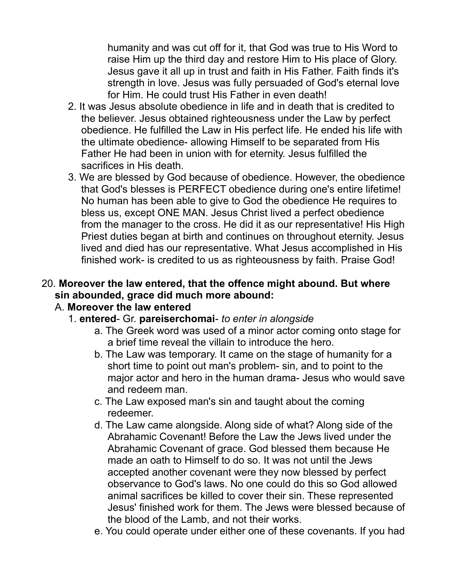humanity and was cut off for it, that God was true to His Word to raise Him up the third day and restore Him to His place of Glory. Jesus gave it all up in trust and faith in His Father. Faith finds it's strength in love. Jesus was fully persuaded of God's eternal love for Him. He could trust His Father in even death!

- 2. It was Jesus absolute obedience in life and in death that is credited to the believer. Jesus obtained righteousness under the Law by perfect obedience. He fulfilled the Law in His perfect life. He ended his life with the ultimate obedience- allowing Himself to be separated from His Father He had been in union with for eternity. Jesus fulfilled the sacrifices in His death.
- 3. We are blessed by God because of obedience. However, the obedience that God's blesses is PERFECT obedience during one's entire lifetime! No human has been able to give to God the obedience He requires to bless us, except ONE MAN. Jesus Christ lived a perfect obedience from the manager to the cross. He did it as our representative! His High Priest duties began at birth and continues on throughout eternity. Jesus lived and died has our representative. What Jesus accomplished in His finished work- is credited to us as righteousness by faith. Praise God!

### 20. **Moreover the law entered, that the offence might abound. But where sin abounded, grace did much more abound:**

#### A. **Moreover the law entered**

- 1. **entered** Gr. **pareiserchomai** *to enter in alongside*
	- a. The Greek word was used of a minor actor coming onto stage for a brief time reveal the villain to introduce the hero.
	- b. The Law was temporary. It came on the stage of humanity for a short time to point out man's problem- sin, and to point to the major actor and hero in the human drama- Jesus who would save and redeem man.
	- c. The Law exposed man's sin and taught about the coming redeemer.
	- d. The Law came alongside. Along side of what? Along side of the Abrahamic Covenant! Before the Law the Jews lived under the Abrahamic Covenant of grace. God blessed them because He made an oath to Himself to do so. It was not until the Jews accepted another covenant were they now blessed by perfect observance to God's laws. No one could do this so God allowed animal sacrifices be killed to cover their sin. These represented Jesus' finished work for them. The Jews were blessed because of the blood of the Lamb, and not their works.
	- e. You could operate under either one of these covenants. If you had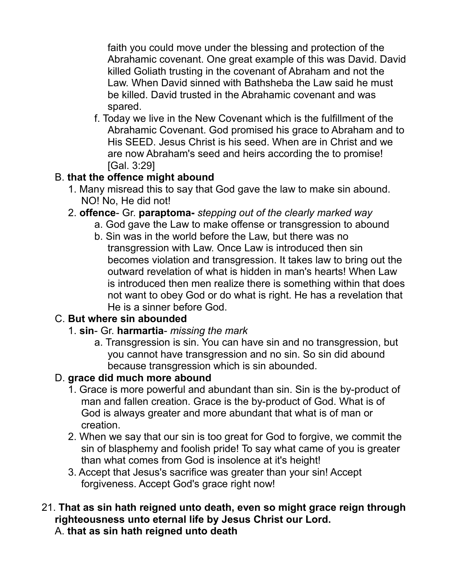faith you could move under the blessing and protection of the Abrahamic covenant. One great example of this was David. David killed Goliath trusting in the covenant of Abraham and not the Law. When David sinned with Bathsheba the Law said he must be killed. David trusted in the Abrahamic covenant and was spared.

f. Today we live in the New Covenant which is the fulfillment of the Abrahamic Covenant. God promised his grace to Abraham and to His SEED. Jesus Christ is his seed. When are in Christ and we are now Abraham's seed and heirs according the to promise! [Gal. 3:29]

# B. **that the offence might abound**

- 1. Many misread this to say that God gave the law to make sin abound. NO! No, He did not!
- 2. **offence** Gr. **paraptoma-** *stepping out of the clearly marked way*
	- a. God gave the Law to make offense or transgression to abound
	- b. Sin was in the world before the Law, but there was no transgression with Law. Once Law is introduced then sin becomes violation and transgression. It takes law to bring out the outward revelation of what is hidden in man's hearts! When Law is introduced then men realize there is something within that does not want to obey God or do what is right. He has a revelation that He is a sinner before God.

## C. **But where sin abounded**

#### 1. **sin**- Gr. **harmartia**- *missing the mark*

a. Transgression is sin. You can have sin and no transgression, but you cannot have transgression and no sin. So sin did abound because transgression which is sin abounded.

## D. **grace did much more abound**

- 1. Grace is more powerful and abundant than sin. Sin is the by-product of man and fallen creation. Grace is the by-product of God. What is of God is always greater and more abundant that what is of man or creation.
- 2. When we say that our sin is too great for God to forgive, we commit the sin of blasphemy and foolish pride! To say what came of you is greater than what comes from God is insolence at it's height!
- 3. Accept that Jesus's sacrifice was greater than your sin! Accept forgiveness. Accept God's grace right now!

#### 21. **That as sin hath reigned unto death, even so might grace reign through righteousness unto eternal life by Jesus Christ our Lord.** A. **that as sin hath reigned unto death**